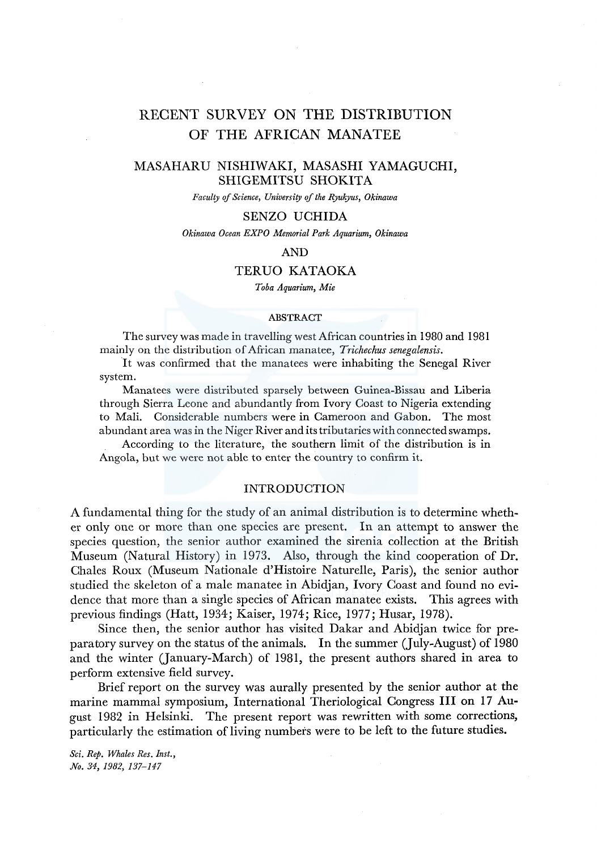# RECENT SURVEY ON THE DISTRIBUTION OF THE AFRICAN MANATEE

# MASAHARU NISHIWAKI, MASASHI YAMAGUCHI, SHIGEMITSU SHOKITA

*Faculty of Science, University of the Ryukyus, Okinawa* 

## SENZO UCHIDA

*Okinawa Ocean EXPO Memorial Park Aquarium, Okinawa* 

# AND

## TERUO KATAOKA

*Toba Aquarium, Mie* 

#### ABSTRACT

The survey was made in travelling west African countries in 1980 and 1981 mainly on the distribution of African manatee, *Trichechus senegalensis.* 

It was confirmed that the manatees were inhabiting the Senegal River system.

Manatees were distributed sparsely between Guinea-Bissau and Liberia through Sierra Leone and abundantly from Ivory Coast to Nigeria extending to Mali. Considerable numbers were in Cameroon and Gabon. The most abundant area was in the Niger River and its tributaries with connected swamps.

According to the literature, the southern limit of the distribution is in Angola, but we were not able to enter the country to confirm it.

### INTRODUCTION

A fundamental thing for the study of an animal distribution is to determine whether only one or more than one species are present. In an attempt to answer the species question, the senior author examined the sirenia collection at the British Museum (Natural History) in 1973. Also, through the kind cooperation of Dr. Chales Roux (Museum Nationale d'Histoire Naturelle, Paris), the senior author studied the skeleton of a male manatee in Abidjan, Ivory Coast and found no evidence that more than a single species of African manatee exists. This agrees with previous findings (Hatt, 1934; Kaiser, 1974; Rice, 1977; Husar, 1978).

Since then, the senior author has visited Dakar and Abidjan twice for preparatory survey on the status of the animals. In the summer (July-August) of 1980 and the winter (January-March) of 1981, the present authors shared in area to perform extensive field survey.

Brief report on the survey was aurally presented by the senior author at the marine mammal symposium, International Theriological Congress III on 17 August 1982 in Helsinki. The present report was rewritten with some corrections, particularly the estimation of living numbers were to be left to the future studies.

*Sci. Rep. Whales Res. Inst., No. 34, 1982, 137-147*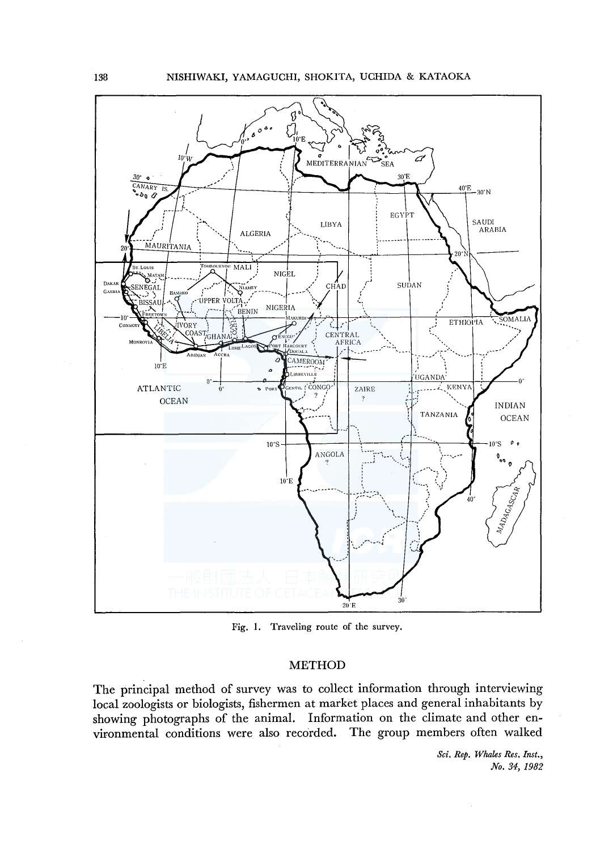

Fig. 1. Traveling route of the survey.

# **METHOD**

The principal method of survey was to collect information through interviewing local zoologists or biologists, fishermen at market places and general inhabitants by showing photographs of the animal. Information on the climate and other environmental conditions were also recorded. The group members often walked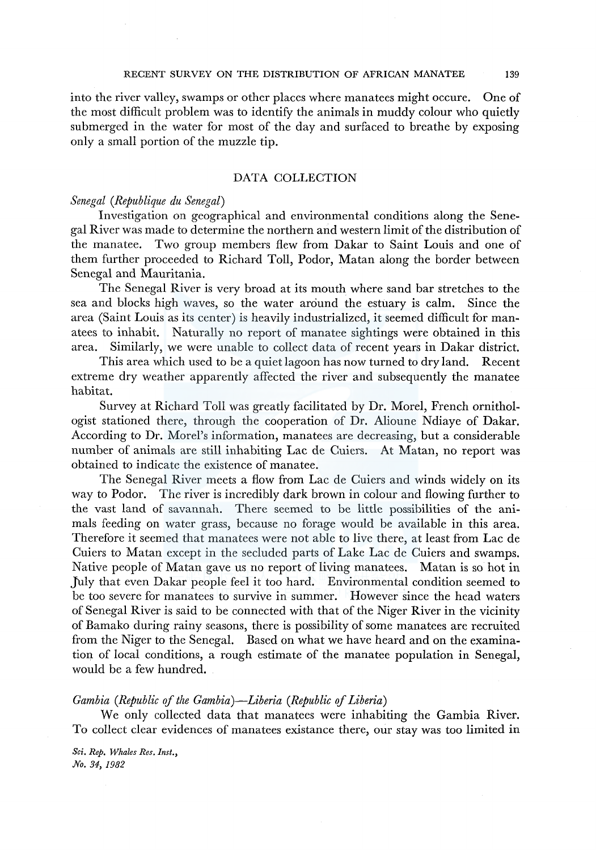### RECENT SURVEY ON THE DISTRIBUTION OF AFRICAN MANATEE 139

into the river valley, swamps or other places where manatees might occure. One of the most difficult problem was to identify the animals in muddy colour who quietly submerged in the water for most of the day and surfaced to breathe by exposing only a small portion of the muzzle tip.

# DATA COLLECTION

### *Senegal (Republique du Senegal)*

Investigation on geographical and environmental conditions along the Senegal River was made to determine the northern and western limit of the distribution of the manatee. Two group members flew from Dakar to Saint Louis and one of them further proceeded to Richard Toll, Podor, Matan along the border between Senegal and Mauritania.

The Senegal River is very broad at its mouth where sand bar stretches to the sea and blocks high waves, so the water around the estuary is calm. Since the area (Saint Louis as its center) is heavily industrialized, it seemed difficult for manatees to inhabit. Naturally no report of manatee sightings were obtained in this area. Similarly, we were unable to collect data of recent years in Dakar district.

This area which used to be a quiet lagoon has now turned to dry land. Recent extreme dry weather apparently affected the river and subsequently the manatee habitat.

Survey at Richard Toll was greatly facilitated by Dr. Morel, French ornithologist stationed there, through the cooperation of Dr. Alioune Ndiaye of Dakar. According to Dr. Morel's information, manatees are decreasing, but a considerable number of animals are still inhabiting Lac de Cuiers. At Matan, no report was obtained to indicate the existence of manatee.

The Senegal River meets a flow from Lac de Cuiers and winds widely on its way to Podor. The river is incredibly dark brown in colour and flowing further to the vast land of savannah. There seemed to be little possibilities of the animals feeding on water grass, because no forage would be available in this area. Therefore it seemed that manatees were not able to live there, at least from Lac de Cuiers to Matan except in the secluded parts of Lake Lac de Cuiers and swamps. Native people of Matan gave us no report of living manatees. Matan is so hot in July that even Dakar people feel it too hard. Environmental condition seemed to be too severe for manatees to survive in summer. However since the head waters of Senegal River is said to be connected with that of the Niger River in the vicinity of Bamako during rainy seasons, there is possibility of some manatees are recruited from the Niger to the Senegal. Based on what we have heard and on the examination of local conditions, a rough estimate of the manatee population in Senegal, would be a few hundred.

### *Gambia (Republic of the Gambia)-Liberia (Republic of Liberia)*

We only collected data that manatees were inhabiting the Gambia River. To collect clear evidences of manatees existance there, our stay was too limited in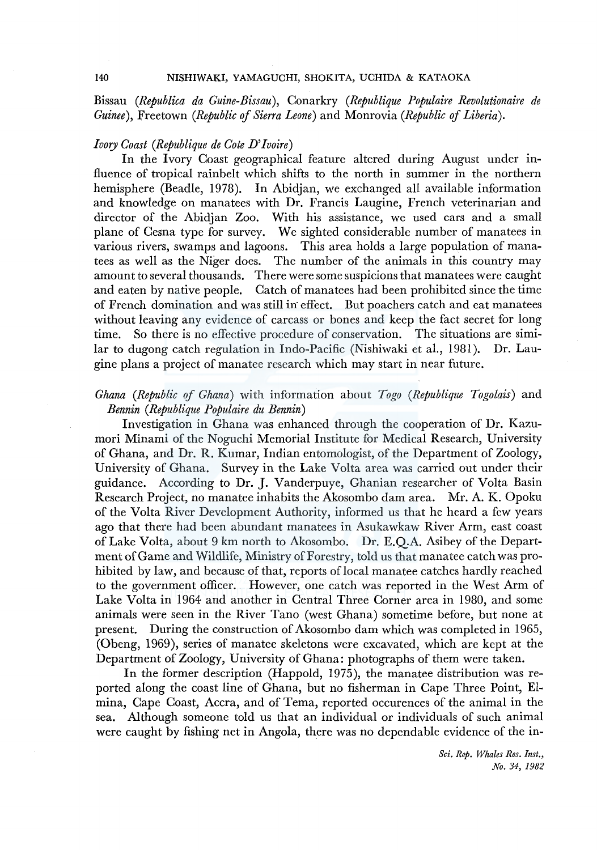Bissau *(Republica da Guine-Bissau),* Conarkry *(Republique Populaire Revolutionaire de Guinee),* Freetown *(Republic* of *Sierra Leone)* and Monrovia *(Republic of Liberia).* 

# *Ivory Coast (Republique de Cote D' Jvoire)*

In the Ivory Coast geographical feature altered during August under influence of tropical rainbelt which shifts to the north in summer in the northern hemisphere (Beadle, 1978). In Abidjan, we exchanged all available information and knowledge on manatees with Dr. Francis Laugine, French veterinarian and director of the Abidjan Zoo. With his assistance, we used cars and a small plane of Cesna type for survey. We sighted considerable number of manatees in various rivers, swamps and lagoons. This area holds a large population of manatees as well as the Niger does. The number of the animals in this country may amount to several thousands. There were some suspicions that manatees were caught and eaten by native people. Catch of manatees had been prohibited since the time of French domination and was still in effect. But poachers catch and eat manatees without leaving any evidence of carcass or bones and keep the fact secret for long time. So there is no effective procedure of conservation. The situations are similar to dugong catch regulation in Indo-Pacific (Nishiwaki et al., 1981). Dr. Laugine plans a project of manatee research which may start in near future.

# *Ghana (Republic of Ghana)* with information about *Togo (Republique Togolais)* and *Bennin (Republique Populaire du Bennin)*

Investigation in Ghana was enhanced through the cooperation of Dr. Kazumori Minami of the Noguchi Memorial Institute for Medical Research, University of Ghana, and Dr. R. Kumar, Indian entomologist, of the Department of Zoology, University of Ghana. Survey in the Lake Volta area was carried out under their guidance. According to Dr. J. Vanderpuye, Ghanian researcher of Volta Basin Research Project, no manatee inhabits the Akosombo dam area. Mr. A. K. Opoku of the Volta River Development Authority, informed us that he heard a few years ago that there had been abundant manatees in Asukawkaw River Arm, east coast of Lake Volta, about 9 km north to Akosombo. Dr. E.Q.A. Asibey of the Department of Game and Wildlife, Ministry of Forestry, told us that manatee catch was prohibited by law, and because of that, reports of local manatee catches hardly reached to the government officer. However, one catch was reported in the West Arm of Lake Volta in 1964 and another in Central Three Corner area in 1980, and some animals were seen in the River Tano (west Ghana) sometime before, but none at present. During the construction of Akosombo dam which was completed in 1965, (Obeng, 1969), series of manatee skeletons were excavated, which are kept at the Department of Zoology, University of Ghana: photographs of them were taken.

In the former description (Happold, 1975), the manatee distribution was reported along the coast line of Ghana, but no fisherman in Cape Three Point, Elmina, Cape Coast, Accra, and of Terna, reported occurences of the animal in the sea. Although someone told us that an individual or individuals of such animal were caught by fishing net in Angola, there was no dependable evidence of the in-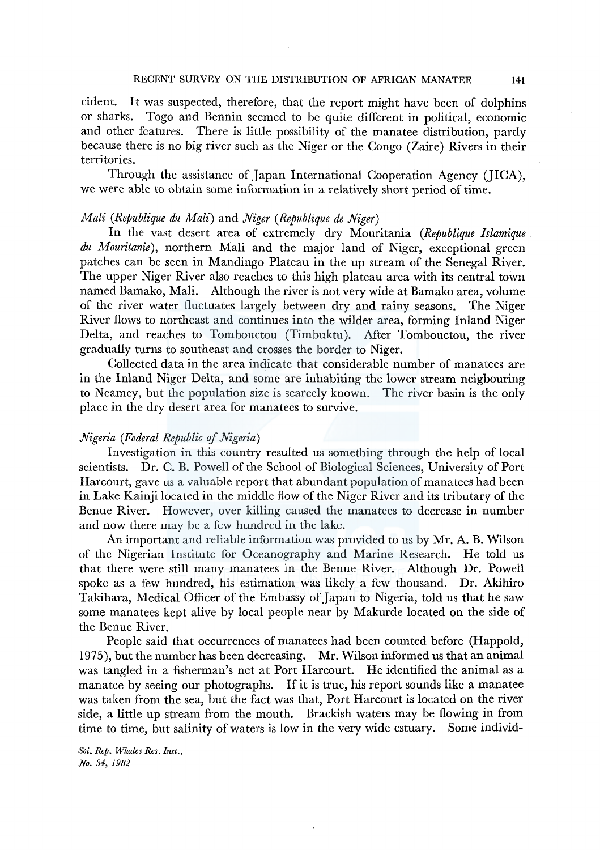### RECENT SURVEY ON THE DISTRIBUTION OF AFRICAN MANATEE 141

cident. It was suspected, therefore, that the report might have been of dolphins or sharks. Togo and Bennin seemed to be quite different in political, economic and other features. There is little possibility of the manatee distribution, partly because there is no big river such as the Niger or the Congo (Zaire) Rivers in their territories.

Through the assistance of Japan International Cooperation Agency (JICA), we were able to obtain some information in a relatively short period of time.

# *Mali (Republique du Mali)* and *Niger (Republique de Niger)*

In the vast desert area of extremely dry Mauritania *(Republique Islamique du Mouritanie),* northern Mali and the major land of Niger, exceptional green patches can be seen in Mandingo Plateau in the up stream of the Senegal River. The upper Niger River also reaches to this high plateau area with its central town named Bamako, Mali. Although the river is not very wide at Bamako area, volume of the river water fluctuates largely between dry and rainy seasons. The Niger River flows to northeast and continues into the wilder area, forming Inland Niger Delta, and reaches to Tombouctou (Timbuktu). After Tombouctou, the river gradually turns to southeast and crosses the border to Niger.

Collected data in the area indicate that considerable number of manatees are in the Inland Niger Delta, and some are inhabiting the lower stream neigbouring to Neamey, but the population size is scarcely known. The river basin is the only place in the dry desert area for manatees to survive.

# *Nigeria (Federal Republic of Nigeria)*

Investigation in this country resulted us something through the help of local scientists. Dr. C. B. Powell of the School of Biological Sciences, University of Port Harcourt, gave us a valuable report that abundant population of manatees had been in Lake Kainji located in the middle flow of the Niger River and its tributary of the Benue River. However, over killing caused the manatees to decrease in number and now there may be a few hundred in the lake.

An important and reliable information was provided to us by Mr. A. B. Wilson of the Nigerian Institute for Oceanography and Marine Research. He told us that there were still many manatees in the Benue River. Although Dr. Powell spoke as a few hundred, his estimation was likely a few thousand. Dr. Akihiro Takihara, Medical Officer of the Embassy of Japan to Nigeria, told us that he saw some manatees kept alive by local people near by Makurde located on the side of the Benue River.

People said that occurrences of manatees had been counted before (Happold, 1975 ), but the number has been decreasing. Mr. Wilson informed us that an animal was tangled in a fisherman's net at Port Harcourt. He identified the animal as a manatee by seeing our photographs. If it is true, his report sounds like a manatee was taken from the sea, but the fact was that, Port Harcourt is located on the river side, a little up stream from the mouth. Brackish waters may be flowing in from time to time, but salinity of waters is low in the very wide estuary. Some individ-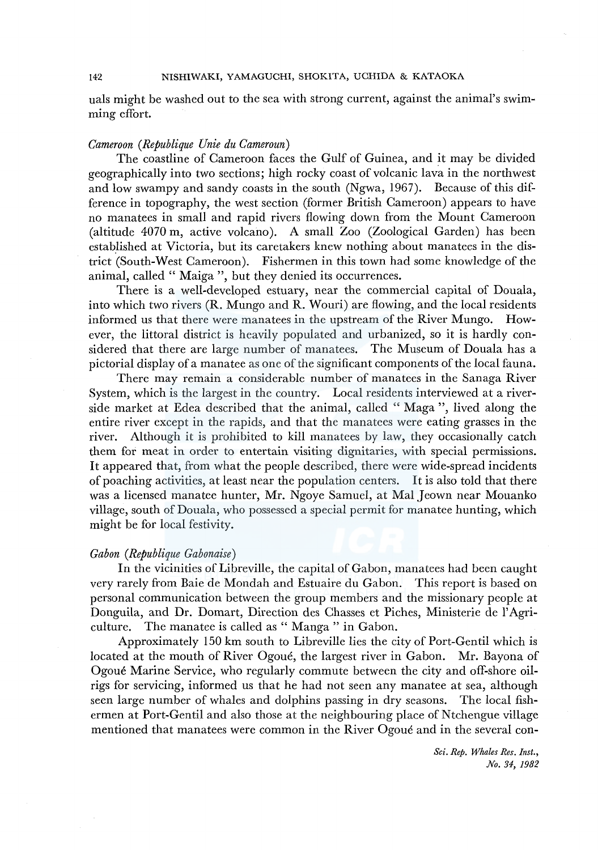uals might be washed out to the sea with strong current, against the animal's swimming effort.

# *Cameroon (Republique Unie du Cameroun)*

The coastline of Cameroon faces the Gulf of Guinea, and it may be divided geographically into two sections; high rocky coast of volcanic lava in the northwest and low swampy and sandy coasts in the south (Ngwa, 1967). Because of this difference in topography, the west section (former British Cameroon) appears to have no manatees in small and rapid rivers flowing down from the Mount Cameroon (altitude 4070 m, active volcano). A small Zoo (Zoological Garden) has been established at Victoria, but its caretakers knew nothing about manatees in the district (South-West Cameroon). Fishermen in this town had some knowledge of the animal, called " Maiga ", but they denied its occurrences.

There is a well-developed estuary, near the commercial capital of Douala, into which two rivers (R. Mungo and R. Wouri) are flowing, and the local residents informed us that there were manatees in the upstream of the River Mungo. However, the littoral district is heavily populated and urbanized, so it is hardly considered that there are large number of manatees. The Museum of Douala has a pictorial display of a manatee as one of the significant components of the local fauna.

There may remain a considerable number of manatees in the Sanaga River System, which is the largest in the country. Local residents interviewed at a riverside market at Edea described that the animal, called " Maga'', lived along the entire river except in the rapids, and that the manatees were eating grasses in the river. Although it is prohibited to kill manatees by law, they occasionally catch them for meat in order to entertain visiting dignitaries, with special permissions. It appeared that, from what the people described, there were wide-spread incidents of poaching activities, at least near the population centers. It is also told that there was a licensed manatee hunter, Mr. Ngoye Samuel, at Mal Jeown near Mouanko village, south of Douala, who possessed a special permit for manatee hunting, which might be for local festivity.

# *Gabon* ( *Republique Gabonaise)*

In the vicinities of Libreville, the capital of Gabon, manatees had been caught very rarely from Baie de Mondah and Estuaire du Gabon. This report is based on personal communication between the group members and the missionary people at Donguila, and Dr. Domart, Direction des Chasses et Piches, Ministerie de !'Agriculture. The manatee is called as " Manga " in Gabon.

Approximately 150 km south to Libreville lies the city of Port-Gentil which is located at the mouth of River Ogoue, the largest river in Gabon. Mr. Bayona of Ogoue Marine Service, who regularly commute between the city and off-shore oilrigs for servicing, informed us that he had not seen any manatee at sea, although seen large number of whales and dolphins passing in dry seasons. The local fishermen at Port-Gentil and also those at the neighbouring place of Ntchengue village mentioned that manatees were common in the River Ogoue and in the several con-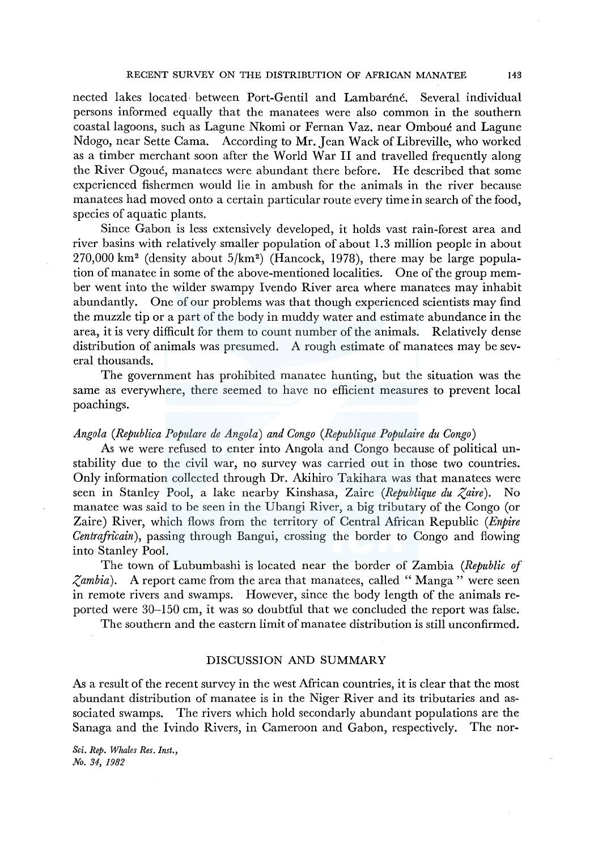nected lakes located· between Port-Gentil and Lambarene. Several individual persons informed equally that the manatees were also common in the southern coastal lagoons, such as Lagune Nkomi or Fernan Vaz. near Omboue and Lagune Ndogo, near Sette Cama. According to Mr. Jean Wack of Libreville, who worked as a timber merchant soon after the World War II and travelled frequently along the River Ogoue, manatees were abundant there before. He described that some experienced fishermen would lie in ambush for the animals in the river because manatees had moved onto a certain particular route every time in search of the food, species of aquatic plants.

Since Gabon is less extensively developed, it holds vast rain-forest area and river basins with relatively smaller population of about 1.3 million people in about 270,000 km<sup>2</sup> (density about  $5/km^2$ ) (Hancock, 1978), there may be large population of manatee in some of the above-mentioned localities. One of the group member went into the wilder swampy Ivendo River area where manatees may inhabit abundantly. One of our problems was that though experienced scientists may find the muzzle tip or a part of the body in muddy water and estimate abundance in the area, it is very difficult for them to count number of the animals. Relatively dense distribution of animals was presumed. A rough estimate of manatees may be several thousands.

The government has prohibited manatee hunting, but the situation was the same as everywhere, there seemed to have no efficient measures to prevent local poachings.

# *Angola (Republica Populare de Angola) and Congo (Republique Populaire du Congo)*

As we were refused to enter into Angola and Congo because of political unstability due to the civil war, no survey was carried out in those two countries. Only information collected through Dr. Akihiro Takihara was that manatees were seen in Stanley Pool, a lake nearby Kinshasa, Zaire *(Republique du Zaire).* No manatee was said to be seen in the Ubangi River, a big tributary of the Congo (or Zaire) River, which flows from the territory of Central African Republic *(Enpire Centrafricain*), passing through Bangui, crossing the border to Congo and flowing into Stanley Pool.

The town of Lubumbashi is located near the border of Zambia *(Republic* of *Zambia).* A report came from the area that manatees, called " Manga " were seen in remote rivers and swamps. However, since the body length of the animals reported were 30-150 cm, it was so doubtful that we concluded the report was false.

The southern and the eastern limit of manatee distribution is still unconfirmed.

### DISCUSSION AND SUMMARY

As a result of the recent survey in the west African countries, it is clear that the most abundant distribution of manatee is in the Niger River and its tributaries and associated swamps. The rivers which hold secondarly abundant populations are the Sanaga and the Ivindo Rivers, in Cameroon and Gabon, respectively. The nor-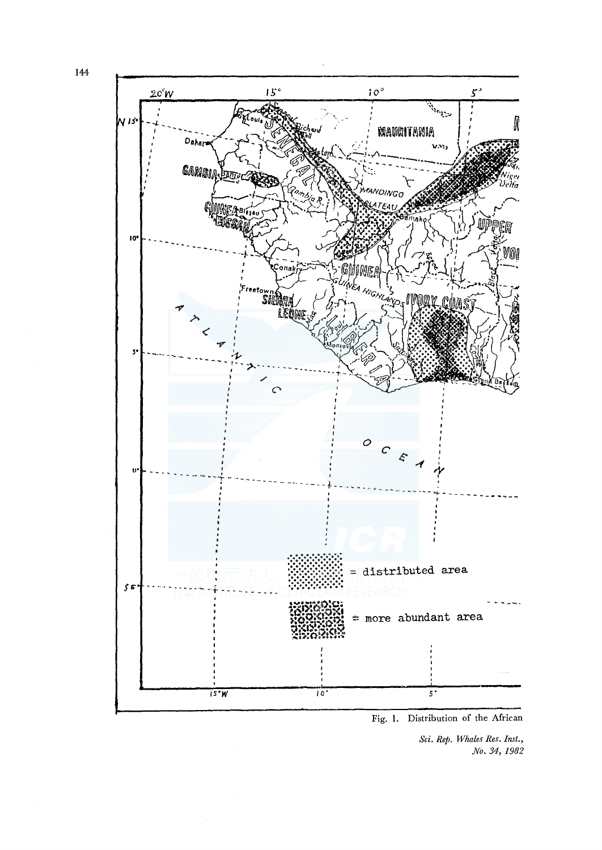144



Fig. 1. Distribution of the African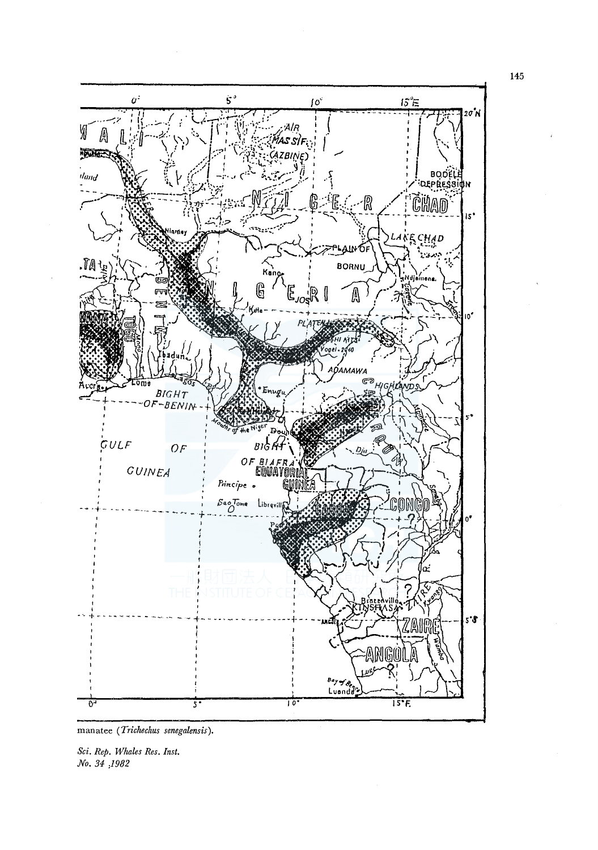

manatee (Trichechus senegalensis).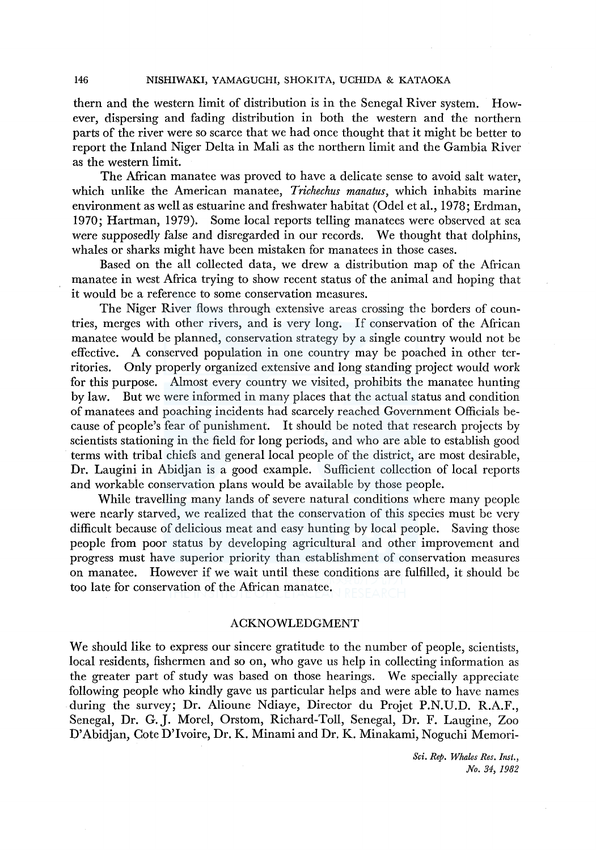them and the western limit of distribution is in the Senegal River system. However, dispersing and fading distribution in both the western and the northern parts of the river were so scarce that we had once thought that it might be better to report the Inland Niger Delta in Mali as the northern limit and the Gambia River as the western limit.

The African manatee was proved to have a delicate sense to avoid salt water, which unlike the American manatee, *Trichechus manatus,* which inhabits marine environment as well as estuarine and freshwater habitat (Odel et al., 1978; Erdman, 1970; Hartman, 1979). Some local reports telling manatees were observed at sea were supposedly false and disregarded in our records. We thought that dolphins, whales or sharks might have been mistaken for manatees in those cases.

Based on the all collected data, we drew a distribution map of the African manatee in west Africa trying to show recent status of the animal and hoping that it would be a reference to some conservation measures.

The Niger River flows through extensive areas crossing the borders of countries, merges with other rivers, and is very long. If conservation of the African manatee would be planned, conservation strategy by a single country would not be effective. A conserved population in one country may be poached in other territories. Only properly organized extensive and long standing project would work for this purpose. Almost every country we visited, prohibits the manatee hunting by law. But we were informed in many places that the actual status and condition of manatees and poaching incidents had scarcely reached Government Officials because of people's fear of punishment. It should be noted that research projects by scientists stationing in the field for long periods, and who are able to establish good terms with tribal chiefs and general local people of the district, are most desirable, Dr. Laugini in Abidjan is a good example. Sufficient collection of local reports and workable conservation plans would be available by those people.

While travelling many lands of severe natural conditions where many people were nearly starved, we realized that the conservation of this species must be very difficult because of delicious meat and easy hunting by local people. Saving those people from poor status by developing agricultural and other improvement and progress must have superior priority than establishment of conservation measures on manatee. However if we wait until these conditions are fulfilled, it should be too late for conservation of the African manatee.

### ACKNOWLEDGMENT

We should like to express our sincere gratitude to the number of people, scientists, local residents, fishermen and so on, who gave us help in collecting information as the greater part of study was based on those hearings. We specially appreciate following people who kindly gave us particular helps and were able to have names during the survey; Dr. Alioune Ndiaye, Director du Projet P.N.U.D. R.A.F., Senegal, Dr. G. J. Morel, Orstom, Richard-Toll, Senegal, Dr. F. Laugine, Zoo D'Abidjan, Cote D'Ivoire, Dr. K. Minami and Dr. K. Minakami, Noguchi Memori-